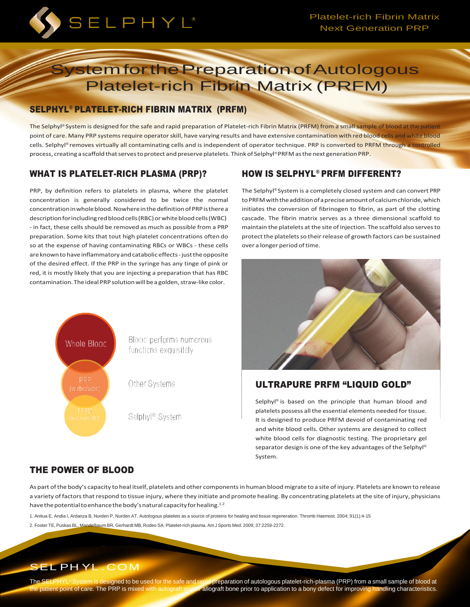

# **System for the Preparation of Autologous** Platelet-rich Fibrin Matrix (PRFM)

## SELPHYL® PLATELET-RICH FIBRIN MATRIX (PRFM)

The Selphyl® System is designed for the safe and rapid preparation of Platelet-rich Fibrin Matrix (PRFM) from a small sample of blood at the patient point of care. Many PRP systems require operator skill, have varying results and have extensive contamination with red blood cells and white blood cells. Selphyl® removes virtually all contaminating cells and is independent of operator technique. PRP is converted to PRFM through a controlled process, creating a scaffold that serves to protect and preserve platelets. Think of Selphyl®PRFM as the next generation PRP.

# WHAT IS PLATELET-RICH PLASMA (PRP)?

PRP, by definition refers to platelets in plasma, where the platelet concentration is generally considered to be twice the normal concentrationinwholeblood.NowhereinthedefinitionofPRPistherea description for including red blood cells (RBC) or white blood cells (WBC) - in fact, these cells should be removed as much as possible from a PRP preparation. Some kits that tout high platelet concentrations often do so at the expense of having contaminating RBCs or WBCs - these cells are known to have inflammatory and catabolic effects - just the opposite of the desired effect. If the PRP in the syringe has any tinge of pink or red, it is mostly likely that you are injecting a preparation that has RBC contamination. The ideal PRP solution will be a golden, straw-like color.

# HOW IS SELPHYL® PRFM DIFFERENT?

The Selphyl® System is a completely closed system and can convert PRP to PRFM with the addition of a precise amount of calcium chloride, which initiates the conversion of fibrinogen to fibrin, as part of the clotting cascade. The fibrin matrix serves as a three dimensional scaffold to maintain the platelets at the site of injection. The scaffold also serves to protect the platelets so their release of growth factors can be sustained over a longer period oftime.



## ULTRAPURE PRFM "LIQUID GOLD"

Selphyl® is based on the principle that human blood and platelets possess all the essential elements needed for tissue. It is designed to produce PRFM devoid of contaminating red and white blood cells. Other systems are designed to collect white blood cells for diagnostic testing. The proprietary gel separator design is one of the key advantages of the Selphyl® System.

Blood performs numerous functions exquisitely

Other Systems

Selphyl® System

# THE POWER OF BLOOD

Whole Blood

As part ofthe body's capacity to heal itself, platelets and other componentsin human bloodmigrate to a site ofinjury. Platelets are known to release a variety of factors that respond to tissue injury, where they initiate and promote healing. By concentrating platelets at the site of injury, physicians have the potential to enhance the body's natural capacity for healing.<sup>1,2</sup>

- 1. Anitua E, Andia I, Ardanza B, Nurden P, Nurden AT. Autologous platelets as a source of proteins for healing and tissue regeneration. Thromb Haemost. 2004; 91(1):4-15
- 2. Foster TE, Puskas BL, Mandelbaum BR, Gerhardt MB, Rodeo SA. Platelet-rich plasma. Am J Sports Med. 2009; 37:2259-2272.

# SEL PH YL .COM

The SELPHYL® System is designed to be used for the safe and rapid preparation of autologous platelet-rich-plasma (PRP) from a small sample of blood at the patient point of care. The PRP is mixed with autograft and/or allog allograft bone prior to application to a bony defect for improving handling characteristics.